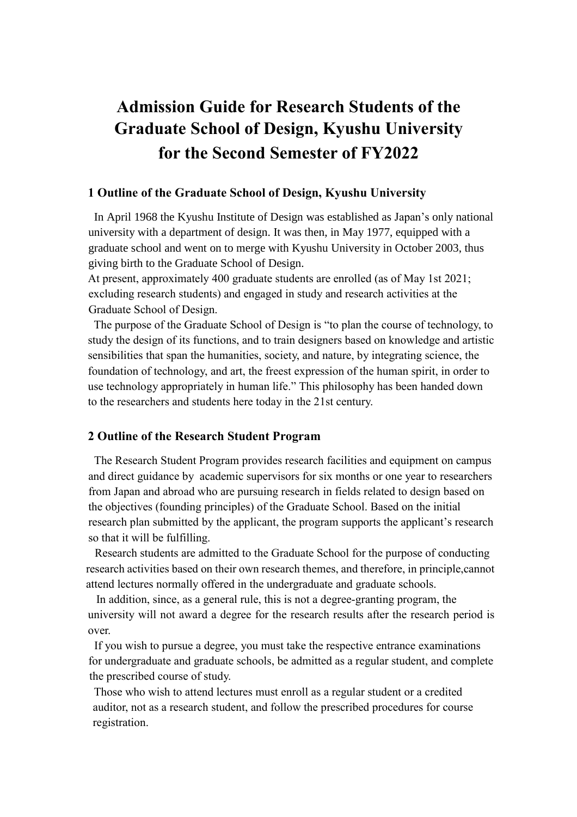# **Admission Guide for Research Students of the Graduate School of Design, Kyushu University for the Second Semester of FY2022**

#### **1 Outline of the Graduate School of Design, Kyushu University**

In April 1968 the Kyushu Institute of Design was established as Japan's only national university with a department of design. It was then, in May 1977, equipped with a graduate school and went on to merge with Kyushu University in October 2003, thus giving birth to the Graduate School of Design.

At present, approximately 400 graduate students are enrolled (as of May 1st 2021; excluding research students) and engaged in study and research activities at the Graduate School of Design.

The purpose of the Graduate School of Design is "to plan the course of technology, to study the design of its functions, and to train designers based on knowledge and artistic sensibilities that span the humanities, society, and nature, by integrating science, the foundation of technology, and art, the freest expression of the human spirit, in order to use technology appropriately in human life." This philosophy has been handed down to the researchers and students here today in the 21st century.

#### **2 Outline of the Research Student Program**

The Research Student Program provides research facilities and equipment on campus and direct guidance by academic supervisors for six months or one year to researchers from Japan and abroad who are pursuing research in fields related to design based on the objectives (founding principles) of the Graduate School. Based on the initial research plan submitted by the applicant, the program supports the applicant's research so that it will be fulfilling.

 Research students are admitted to the Graduate School for the purpose of conducting research activities based on their own research themes, and therefore, in principle,cannot attend lectures normally offered in the undergraduate and graduate schools.

In addition, since, as a general rule, this is not a degree-granting program, the university will not award a degree for the research results after the research period is over.

 If you wish to pursue a degree, you must take the respective entrance examinations for undergraduate and graduate schools, be admitted as a regular student, and complete the prescribed course of study.

 Those who wish to attend lectures must enroll as a regular student or a credited auditor, not as a research student, and follow the prescribed procedures for course registration.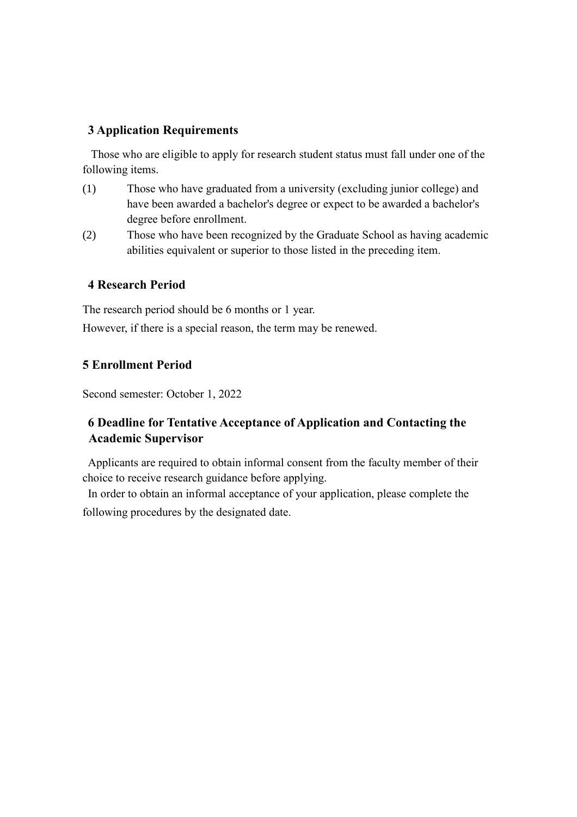# **3 Application Requirements**

 Those who are eligible to apply for research student status must fall under one of the following items.

- (1) Those who have graduated from a university (excluding junior college) and have been awarded a bachelor's degree or expect to be awarded a bachelor's degree before enrollment.
- (2) Those who have been recognized by the Graduate School as having academic abilities equivalent or superior to those listed in the preceding item.

# **4 Research Period**

The research period should be 6 months or 1 year.

However, if there is a special reason, the term may be renewed.

# **5 Enrollment Period**

Second semester: October 1, 2022

# **6 Deadline for Tentative Acceptance of Application and Contacting the Academic Supervisor**

Applicants are required to obtain informal consent from the faculty member of their choice to receive research guidance before applying.

In order to obtain an informal acceptance of your application, please complete the following procedures by the designated date.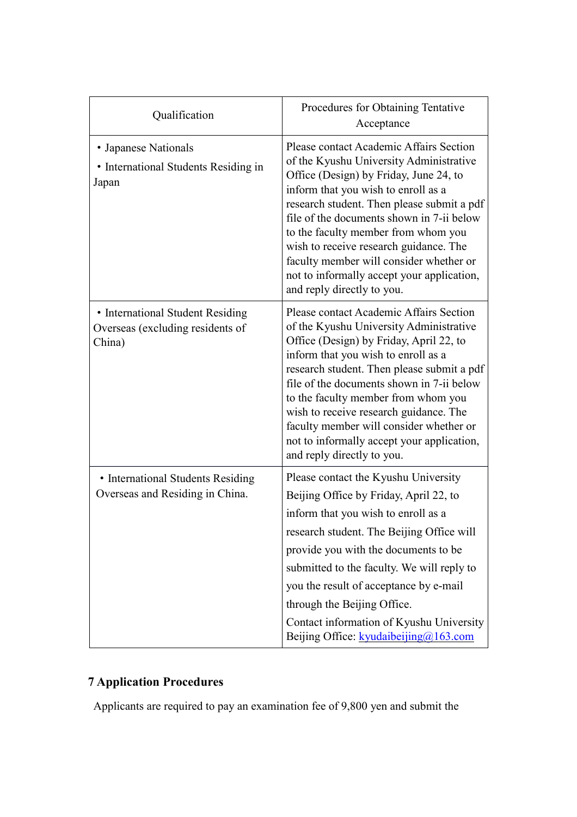| Qualification                                                                  | Procedures for Obtaining Tentative<br>Acceptance                                                                                                                                                                                                                                                                                                                                                                                                                        |
|--------------------------------------------------------------------------------|-------------------------------------------------------------------------------------------------------------------------------------------------------------------------------------------------------------------------------------------------------------------------------------------------------------------------------------------------------------------------------------------------------------------------------------------------------------------------|
| • Japanese Nationals<br>• International Students Residing in<br>Japan          | Please contact Academic Affairs Section<br>of the Kyushu University Administrative<br>Office (Design) by Friday, June 24, to<br>inform that you wish to enroll as a<br>research student. Then please submit a pdf<br>file of the documents shown in 7-ii below<br>to the faculty member from whom you<br>wish to receive research guidance. The<br>faculty member will consider whether or<br>not to informally accept your application,<br>and reply directly to you.  |
| • International Student Residing<br>Overseas (excluding residents of<br>China) | Please contact Academic Affairs Section<br>of the Kyushu University Administrative<br>Office (Design) by Friday, April 22, to<br>inform that you wish to enroll as a<br>research student. Then please submit a pdf<br>file of the documents shown in 7-ii below<br>to the faculty member from whom you<br>wish to receive research guidance. The<br>faculty member will consider whether or<br>not to informally accept your application,<br>and reply directly to you. |
| • International Students Residing<br>Overseas and Residing in China.           | Please contact the Kyushu University<br>Beijing Office by Friday, April 22, to<br>inform that you wish to enroll as a<br>research student. The Beijing Office will<br>provide you with the documents to be<br>submitted to the faculty. We will reply to<br>you the result of acceptance by e-mail<br>through the Beijing Office.<br>Contact information of Kyushu University<br>Beijing Office: $k_y$ udaibeijing $\omega$ 163.com                                     |

# **7 Application Procedures**

Applicants are required to pay an examination fee of 9,800 yen and submit the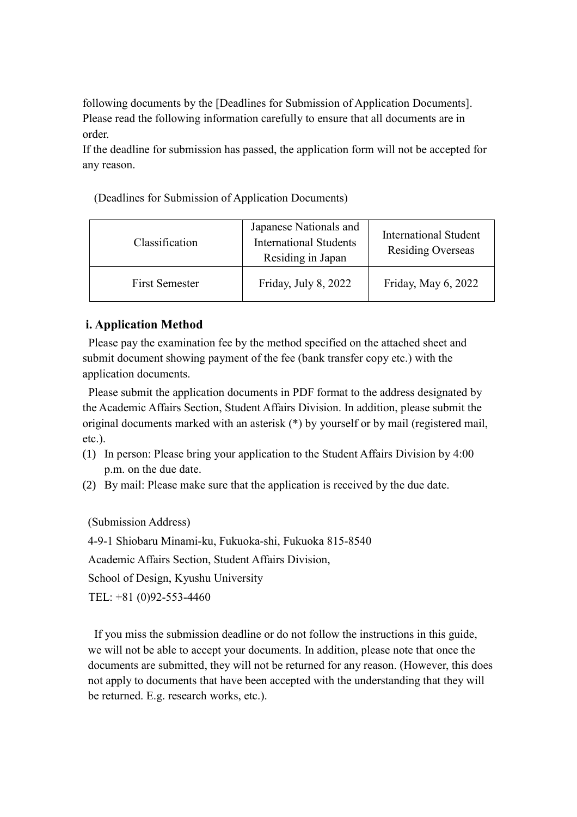following documents by the [Deadlines for Submission of Application Documents]. Please read the following information carefully to ensure that all documents are in order.

If the deadline for submission has passed, the application form will not be accepted for any reason.

(Deadlines for Submission of Application Documents)

| Classification        | Japanese Nationals and<br><b>International Students</b><br>Residing in Japan | <b>International Student</b><br><b>Residing Overseas</b> |
|-----------------------|------------------------------------------------------------------------------|----------------------------------------------------------|
| <b>First Semester</b> | Friday, July 8, 2022                                                         | Friday, May 6, 2022                                      |

# **i. Application Method**

Please pay the examination fee by the method specified on the attached sheet and submit document showing payment of the fee (bank transfer copy etc.) with the application documents.

Please submit the application documents in PDF format to the address designated by the Academic Affairs Section, Student Affairs Division. In addition, please submit the original documents marked with an asterisk (\*) by yourself or by mail (registered mail, etc.).

- (1) In person: Please bring your application to the Student Affairs Division by 4:00 p.m. on the due date.
- (2) By mail: Please make sure that the application is received by the due date.

(Submission Address)

4-9-1 Shiobaru Minami-ku, Fukuoka-shi, Fukuoka 815-8540

Academic Affairs Section, Student Affairs Division,

School of Design, Kyushu University

TEL: +81 (0)92-553-4460

 If you miss the submission deadline or do not follow the instructions in this guide, we will not be able to accept your documents. In addition, please note that once the documents are submitted, they will not be returned for any reason. (However, this does not apply to documents that have been accepted with the understanding that they will be returned. E.g. research works, etc.).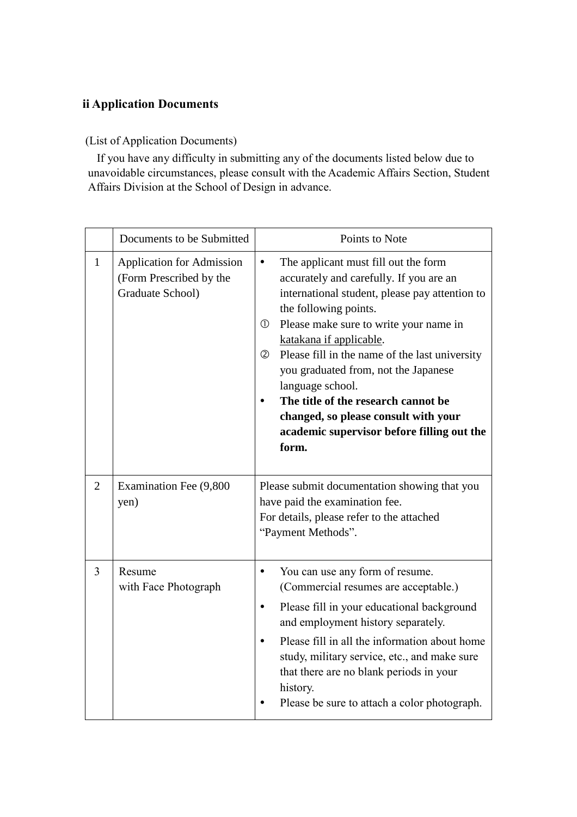# **ii Application Documents**

# (List of Application Documents)

 If you have any difficulty in submitting any of the documents listed below due to unavoidable circumstances, please consult with the Academic Affairs Section, Student Affairs Division at the School of Design in advance.

|                | Documents to be Submitted                                                       | Points to Note                                                                                                                                                                                                                                                                                                                                                                                                                                                                                                         |
|----------------|---------------------------------------------------------------------------------|------------------------------------------------------------------------------------------------------------------------------------------------------------------------------------------------------------------------------------------------------------------------------------------------------------------------------------------------------------------------------------------------------------------------------------------------------------------------------------------------------------------------|
| $\mathbf{1}$   | <b>Application for Admission</b><br>(Form Prescribed by the<br>Graduate School) | The applicant must fill out the form<br>$\bullet$<br>accurately and carefully. If you are an<br>international student, please pay attention to<br>the following points.<br>Please make sure to write your name in<br>$\circled{1}$<br>katakana if applicable.<br>Please fill in the name of the last university<br>②<br>you graduated from, not the Japanese<br>language school.<br>The title of the research cannot be<br>changed, so please consult with your<br>academic supervisor before filling out the<br>form. |
| $\overline{2}$ | Examination Fee (9,800<br>yen)                                                  | Please submit documentation showing that you<br>have paid the examination fee.<br>For details, please refer to the attached<br>"Payment Methods".                                                                                                                                                                                                                                                                                                                                                                      |
| 3              | Resume<br>with Face Photograph                                                  | You can use any form of resume.<br>$\bullet$<br>(Commercial resumes are acceptable.)<br>Please fill in your educational background<br>$\bullet$<br>and employment history separately.<br>Please fill in all the information about home<br>study, military service, etc., and make sure<br>that there are no blank periods in your<br>history.<br>Please be sure to attach a color photograph.                                                                                                                          |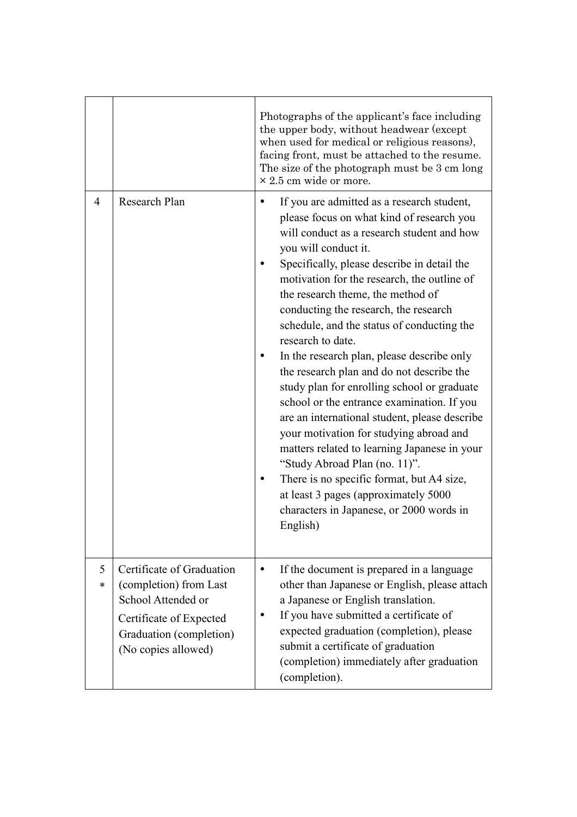|        |                                                                                                                                                        | Photographs of the applicant's face including<br>the upper body, without headwear (except<br>when used for medical or religious reasons),<br>facing front, must be attached to the resume.<br>The size of the photograph must be 3 cm long<br>$\times$ 2.5 cm wide or more.                                                                                                                                                                                                                                                                                                                                                                                                                                                                                                                                                                                                                                                    |
|--------|--------------------------------------------------------------------------------------------------------------------------------------------------------|--------------------------------------------------------------------------------------------------------------------------------------------------------------------------------------------------------------------------------------------------------------------------------------------------------------------------------------------------------------------------------------------------------------------------------------------------------------------------------------------------------------------------------------------------------------------------------------------------------------------------------------------------------------------------------------------------------------------------------------------------------------------------------------------------------------------------------------------------------------------------------------------------------------------------------|
| 4      | Research Plan                                                                                                                                          | If you are admitted as a research student,<br>please focus on what kind of research you<br>will conduct as a research student and how<br>you will conduct it.<br>Specifically, please describe in detail the<br>motivation for the research, the outline of<br>the research theme, the method of<br>conducting the research, the research<br>schedule, and the status of conducting the<br>research to date.<br>In the research plan, please describe only<br>the research plan and do not describe the<br>study plan for enrolling school or graduate<br>school or the entrance examination. If you<br>are an international student, please describe<br>your motivation for studying abroad and<br>matters related to learning Japanese in your<br>"Study Abroad Plan (no. 11)".<br>There is no specific format, but A4 size,<br>at least 3 pages (approximately 5000<br>characters in Japanese, or 2000 words in<br>English) |
| 5<br>* | Certificate of Graduation<br>(completion) from Last<br>School Attended or<br>Certificate of Expected<br>Graduation (completion)<br>(No copies allowed) | If the document is prepared in a language<br>$\bullet$<br>other than Japanese or English, please attach<br>a Japanese or English translation.<br>If you have submitted a certificate of<br>expected graduation (completion), please<br>submit a certificate of graduation<br>(completion) immediately after graduation<br>(completion).                                                                                                                                                                                                                                                                                                                                                                                                                                                                                                                                                                                        |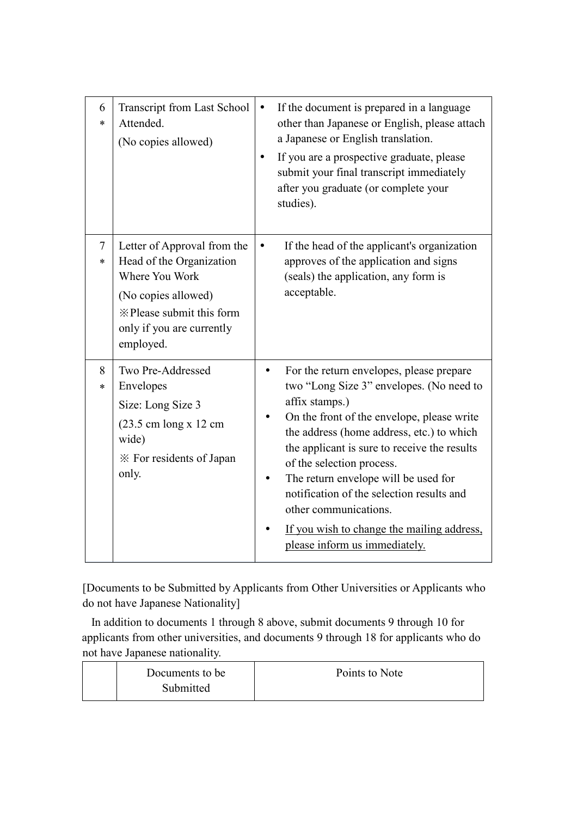| 6<br>$\ast$ | Transcript from Last School<br>Attended.<br>(No copies allowed)                                                                                                        | $\bullet$<br>$\bullet$ | If the document is prepared in a language<br>other than Japanese or English, please attach<br>a Japanese or English translation.<br>If you are a prospective graduate, please<br>submit your final transcript immediately<br>after you graduate (or complete your<br>studies).                                                                                                                                                                                              |
|-------------|------------------------------------------------------------------------------------------------------------------------------------------------------------------------|------------------------|-----------------------------------------------------------------------------------------------------------------------------------------------------------------------------------------------------------------------------------------------------------------------------------------------------------------------------------------------------------------------------------------------------------------------------------------------------------------------------|
| $\tau$<br>∗ | Letter of Approval from the<br>Head of the Organization<br>Where You Work<br>(No copies allowed)<br>*Please submit this form<br>only if you are currently<br>employed. |                        | If the head of the applicant's organization<br>approves of the application and signs<br>(seals) the application, any form is<br>acceptable.                                                                                                                                                                                                                                                                                                                                 |
| 8<br>*      | Two Pre-Addressed<br>Envelopes<br>Size: Long Size 3<br>$(23.5 \text{ cm} \log x)$ 12 cm<br>wide)<br>* For residents of Japan<br>only.                                  |                        | For the return envelopes, please prepare<br>two "Long Size 3" envelopes. (No need to<br>affix stamps.)<br>On the front of the envelope, please write<br>the address (home address, etc.) to which<br>the applicant is sure to receive the results<br>of the selection process.<br>The return envelope will be used for<br>notification of the selection results and<br>other communications.<br>If you wish to change the mailing address,<br>please inform us immediately. |

[Documents to be Submitted by Applicants from Other Universities or Applicants who do not have Japanese Nationality]

 In addition to documents 1 through 8 above, submit documents 9 through 10 for applicants from other universities, and documents 9 through 18 for applicants who do not have Japanese nationality.

| Documents to be | Points to Note |
|-----------------|----------------|
| Submitted       |                |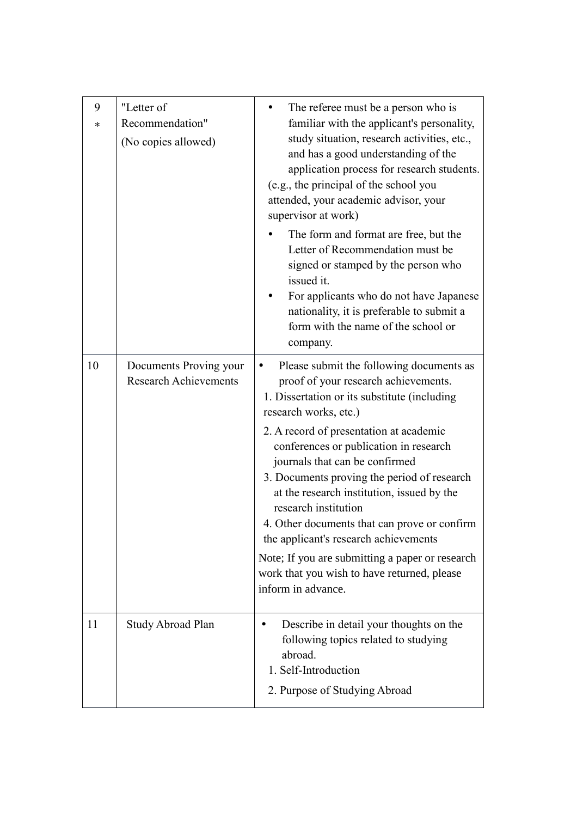| 9<br>* | "Letter of<br>Recommendation"<br>(No copies allowed)   | The referee must be a person who is<br>familiar with the applicant's personality,<br>study situation, research activities, etc.,<br>and has a good understanding of the<br>application process for research students.<br>(e.g., the principal of the school you<br>attended, your academic advisor, your<br>supervisor at work)<br>The form and format are free, but the<br>Letter of Recommendation must be<br>signed or stamped by the person who<br>issued it.<br>For applicants who do not have Japanese<br>nationality, it is preferable to submit a<br>form with the name of the school or<br>company.                        |
|--------|--------------------------------------------------------|-------------------------------------------------------------------------------------------------------------------------------------------------------------------------------------------------------------------------------------------------------------------------------------------------------------------------------------------------------------------------------------------------------------------------------------------------------------------------------------------------------------------------------------------------------------------------------------------------------------------------------------|
| 10     | Documents Proving your<br><b>Research Achievements</b> | Please submit the following documents as<br>$\bullet$<br>proof of your research achievements.<br>1. Dissertation or its substitute (including<br>research works, etc.)<br>2. A record of presentation at academic<br>conferences or publication in research<br>journals that can be confirmed<br>3. Documents proving the period of research<br>at the research institution, issued by the<br>research institution<br>4. Other documents that can prove or confirm<br>the applicant's research achievements<br>Note; If you are submitting a paper or research<br>work that you wish to have returned, please<br>inform in advance. |
| 11     | Study Abroad Plan                                      | Describe in detail your thoughts on the<br>٠<br>following topics related to studying<br>abroad.<br>1. Self-Introduction<br>2. Purpose of Studying Abroad                                                                                                                                                                                                                                                                                                                                                                                                                                                                            |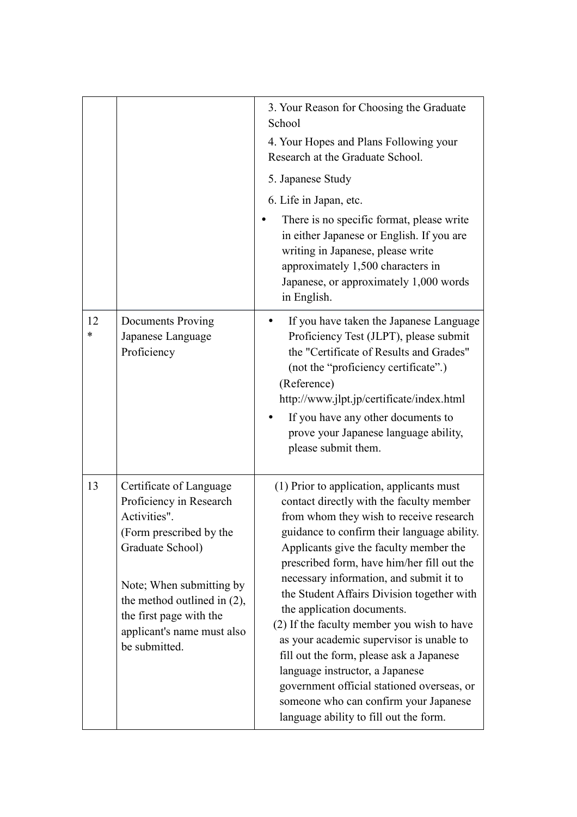|         |                                                                                                                                                                                                                                                           | 3. Your Reason for Choosing the Graduate<br>School<br>4. Your Hopes and Plans Following your<br>Research at the Graduate School.<br>5. Japanese Study<br>6. Life in Japan, etc.<br>There is no specific format, please write<br>in either Japanese or English. If you are<br>writing in Japanese, please write<br>approximately 1,500 characters in<br>Japanese, or approximately 1,000 words<br>in English.                                                                                                                                                                                                                                                                                             |
|---------|-----------------------------------------------------------------------------------------------------------------------------------------------------------------------------------------------------------------------------------------------------------|----------------------------------------------------------------------------------------------------------------------------------------------------------------------------------------------------------------------------------------------------------------------------------------------------------------------------------------------------------------------------------------------------------------------------------------------------------------------------------------------------------------------------------------------------------------------------------------------------------------------------------------------------------------------------------------------------------|
| 12<br>* | <b>Documents Proving</b><br>Japanese Language<br>Proficiency                                                                                                                                                                                              | If you have taken the Japanese Language<br>Proficiency Test (JLPT), please submit<br>the "Certificate of Results and Grades"<br>(not the "proficiency certificate".)<br>(Reference)<br>http://www.jlpt.jp/certificate/index.html<br>If you have any other documents to<br>prove your Japanese language ability,<br>please submit them.                                                                                                                                                                                                                                                                                                                                                                   |
| 13      | Certificate of Language<br>Proficiency in Research<br>Activities".<br>(Form prescribed by the<br>Graduate School)<br>Note; When submitting by<br>the method outlined in $(2)$ ,<br>the first page with the<br>applicant's name must also<br>be submitted. | (1) Prior to application, applicants must<br>contact directly with the faculty member<br>from whom they wish to receive research<br>guidance to confirm their language ability.<br>Applicants give the faculty member the<br>prescribed form, have him/her fill out the<br>necessary information, and submit it to<br>the Student Affairs Division together with<br>the application documents.<br>(2) If the faculty member you wish to have<br>as your academic supervisor is unable to<br>fill out the form, please ask a Japanese<br>language instructor, a Japanese<br>government official stationed overseas, or<br>someone who can confirm your Japanese<br>language ability to fill out the form. |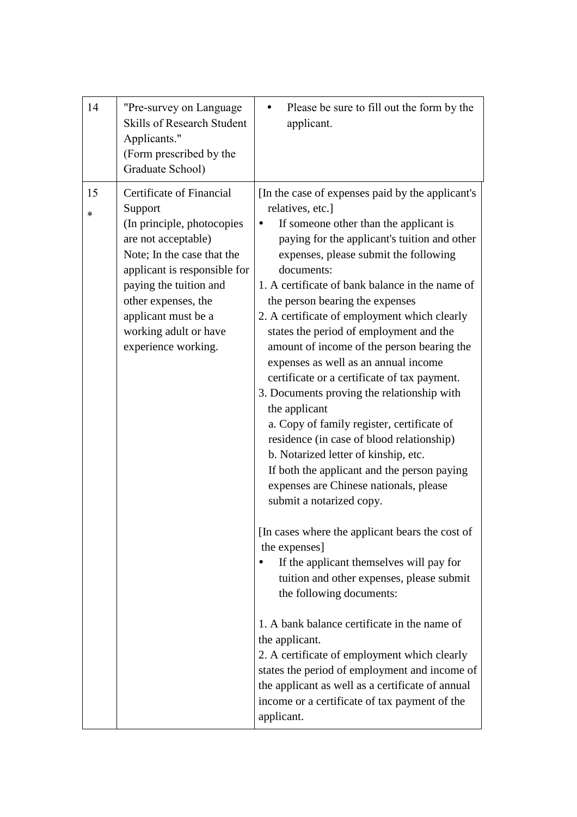| 14<br>"Pre-survey on Language<br><b>Skills of Research Student</b><br>Applicants."<br>(Form prescribed by the<br>Graduate School)                                                                                                                                                         | Please be sure to fill out the form by the<br>applicant.                                                                                                                                                                                                                                                                                                                                                                                                                                                                                                                                                                                                                                                                                                                                                                                                                                                                                                                                                                                                                                                                                                                                                                                                                                                                                           |
|-------------------------------------------------------------------------------------------------------------------------------------------------------------------------------------------------------------------------------------------------------------------------------------------|----------------------------------------------------------------------------------------------------------------------------------------------------------------------------------------------------------------------------------------------------------------------------------------------------------------------------------------------------------------------------------------------------------------------------------------------------------------------------------------------------------------------------------------------------------------------------------------------------------------------------------------------------------------------------------------------------------------------------------------------------------------------------------------------------------------------------------------------------------------------------------------------------------------------------------------------------------------------------------------------------------------------------------------------------------------------------------------------------------------------------------------------------------------------------------------------------------------------------------------------------------------------------------------------------------------------------------------------------|
| 15<br>Certificate of Financial<br>Support<br>*<br>(In principle, photocopies<br>are not acceptable)<br>Note; In the case that the<br>applicant is responsible for<br>paying the tuition and<br>other expenses, the<br>applicant must be a<br>working adult or have<br>experience working. | [In the case of expenses paid by the applicant's<br>relatives, etc.]<br>If someone other than the applicant is<br>paying for the applicant's tuition and other<br>expenses, please submit the following<br>documents:<br>1. A certificate of bank balance in the name of<br>the person bearing the expenses<br>2. A certificate of employment which clearly<br>states the period of employment and the<br>amount of income of the person bearing the<br>expenses as well as an annual income<br>certificate or a certificate of tax payment.<br>3. Documents proving the relationship with<br>the applicant<br>a. Copy of family register, certificate of<br>residence (in case of blood relationship)<br>b. Notarized letter of kinship, etc.<br>If both the applicant and the person paying<br>expenses are Chinese nationals, please<br>submit a notarized copy.<br>[In cases where the applicant bears the cost of<br>the expenses]<br>If the applicant themselves will pay for<br>tuition and other expenses, please submit<br>the following documents:<br>1. A bank balance certificate in the name of<br>the applicant.<br>2. A certificate of employment which clearly<br>states the period of employment and income of<br>the applicant as well as a certificate of annual<br>income or a certificate of tax payment of the<br>applicant. |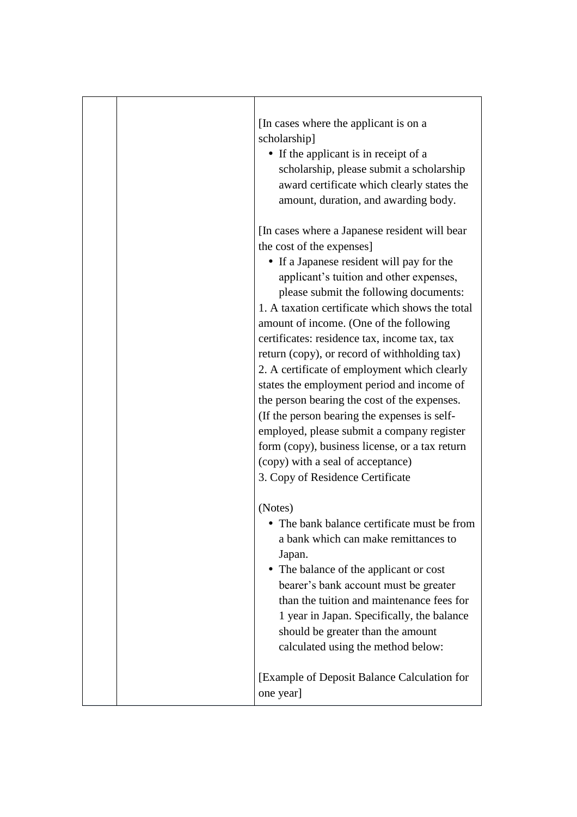|  | [In cases where the applicant is on a<br>scholarship]<br>• If the applicant is in receipt of a<br>scholarship, please submit a scholarship<br>award certificate which clearly states the<br>amount, duration, and awarding body.                                                                                                                                                                                                                                                                                                                                                                                                                                                                                                                                                  |
|--|-----------------------------------------------------------------------------------------------------------------------------------------------------------------------------------------------------------------------------------------------------------------------------------------------------------------------------------------------------------------------------------------------------------------------------------------------------------------------------------------------------------------------------------------------------------------------------------------------------------------------------------------------------------------------------------------------------------------------------------------------------------------------------------|
|  | [In cases where a Japanese resident will bear<br>the cost of the expenses]<br>• If a Japanese resident will pay for the<br>applicant's tuition and other expenses,<br>please submit the following documents:<br>1. A taxation certificate which shows the total<br>amount of income. (One of the following<br>certificates: residence tax, income tax, tax<br>return (copy), or record of withholding tax)<br>2. A certificate of employment which clearly<br>states the employment period and income of<br>the person bearing the cost of the expenses.<br>(If the person bearing the expenses is self-<br>employed, please submit a company register<br>form (copy), business license, or a tax return<br>(copy) with a seal of acceptance)<br>3. Copy of Residence Certificate |
|  | (Notes)<br>• The bank balance certificate must be from<br>a bank which can make remittances to<br>Japan.<br>• The balance of the applicant or cost<br>bearer's bank account must be greater<br>than the tuition and maintenance fees for<br>1 year in Japan. Specifically, the balance<br>should be greater than the amount<br>calculated using the method below:                                                                                                                                                                                                                                                                                                                                                                                                                 |
|  | [Example of Deposit Balance Calculation for<br>one year]                                                                                                                                                                                                                                                                                                                                                                                                                                                                                                                                                                                                                                                                                                                          |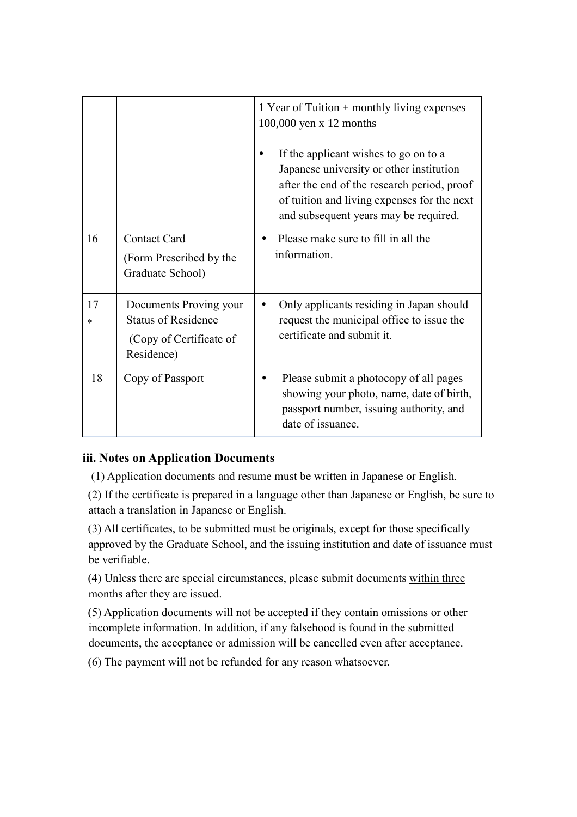|    |                                                                                               | 1 Year of Tuition + monthly living expenses<br>100,000 yen x 12 months<br>If the applicant wishes to go on to a<br>Japanese university or other institution<br>after the end of the research period, proof<br>of tuition and living expenses for the next<br>and subsequent years may be required. |
|----|-----------------------------------------------------------------------------------------------|----------------------------------------------------------------------------------------------------------------------------------------------------------------------------------------------------------------------------------------------------------------------------------------------------|
| 16 | <b>Contact Card</b><br>(Form Prescribed by the<br>Graduate School)                            | Please make sure to fill in all the<br>information.                                                                                                                                                                                                                                                |
| 17 | Documents Proving your<br><b>Status of Residence</b><br>(Copy of Certificate of<br>Residence) | Only applicants residing in Japan should<br>request the municipal office to issue the<br>certificate and submit it.                                                                                                                                                                                |
| 18 | Copy of Passport                                                                              | Please submit a photocopy of all pages<br>showing your photo, name, date of birth,<br>passport number, issuing authority, and<br>date of issuance.                                                                                                                                                 |

# **iii. Notes on Application Documents**

(1) Application documents and resume must be written in Japanese or English.

(2) If the certificate is prepared in a language other than Japanese or English, be sure to attach a translation in Japanese or English.

(3) All certificates, to be submitted must be originals, except for those specifically approved by the Graduate School, and the issuing institution and date of issuance must be verifiable.

(4) Unless there are special circumstances, please submit documents within three months after they are issued.

(5) Application documents will not be accepted if they contain omissions or other incomplete information. In addition, if any falsehood is found in the submitted documents, the acceptance or admission will be cancelled even after acceptance.

(6) The payment will not be refunded for any reason whatsoever.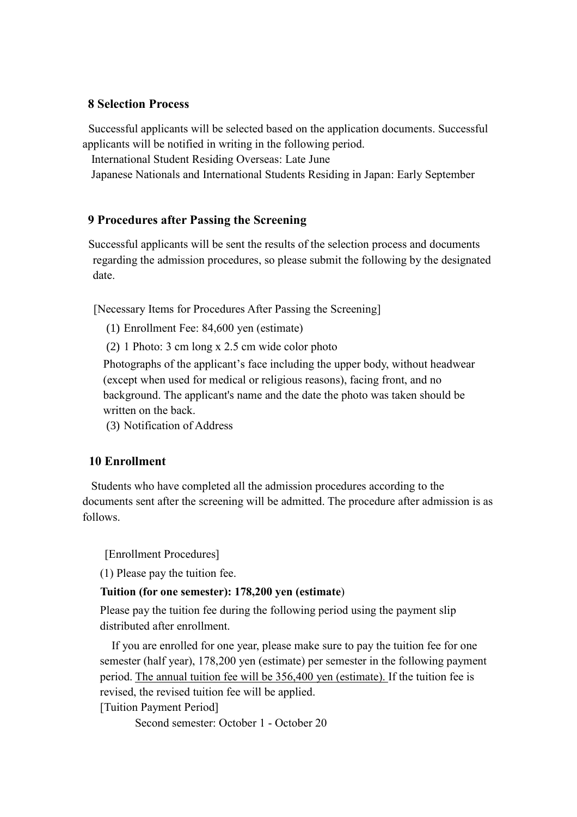#### **8 Selection Process**

 Successful applicants will be selected based on the application documents. Successful applicants will be notified in writing in the following period.

International Student Residing Overseas: Late June

Japanese Nationals and International Students Residing in Japan: Early September

# **9 Procedures after Passing the Screening**

 Successful applicants will be sent the results of the selection process and documents regarding the admission procedures, so please submit the following by the designated date.

[Necessary Items for Procedures After Passing the Screening]

(1) Enrollment Fee: 84,600 yen (estimate)

(2) 1 Photo: 3 cm long x 2.5 cm wide color photo

Photographs of the applicant's face including the upper body, without headwear (except when used for medical or religious reasons), facing front, and no background. The applicant's name and the date the photo was taken should be written on the back.

(3) Notification of Address

# **10 Enrollment**

 Students who have completed all the admission procedures according to the documents sent after the screening will be admitted. The procedure after admission is as follows.

[Enrollment Procedures]

(1) Please pay the tuition fee.

# **Tuition (for one semester): 178,200 yen (estimate**)

Please pay the tuition fee during the following period using the payment slip distributed after enrollment.

If you are enrolled for one year, please make sure to pay the tuition fee for one semester (half year), 178,200 yen (estimate) per semester in the following payment period. The annual tuition fee will be 356,400 yen (estimate). If the tuition fee is revised, the revised tuition fee will be applied.

[Tuition Payment Period]

Second semester: October 1 - October 20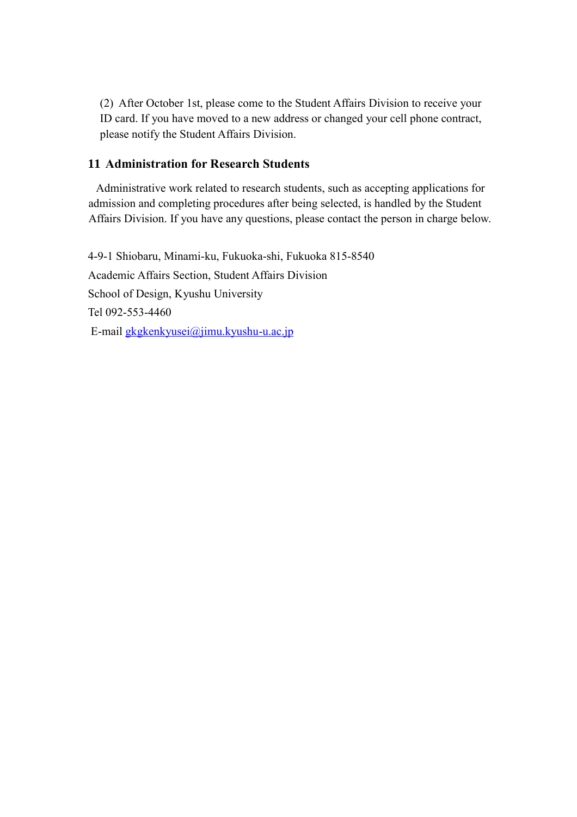(2) After October 1st, please come to the Student Affairs Division to receive your ID card. If you have moved to a new address or changed your cell phone contract, please notify the Student Affairs Division.

# **11 Administration for Research Students**

 Administrative work related to research students, such as accepting applications for admission and completing procedures after being selected, is handled by the Student Affairs Division. If you have any questions, please contact the person in charge below.

4-9-1 Shiobaru, Minami-ku, Fukuoka-shi, Fukuoka 815-8540 Academic Affairs Section, Student Affairs Division School of Design, Kyushu University Tel 092-553-4460 E-mail [gkgkenkyusei@jimu.kyushu-u.ac.jp](mailto:gkgkenkyusei@jimu.kyushu-u.ac.jp)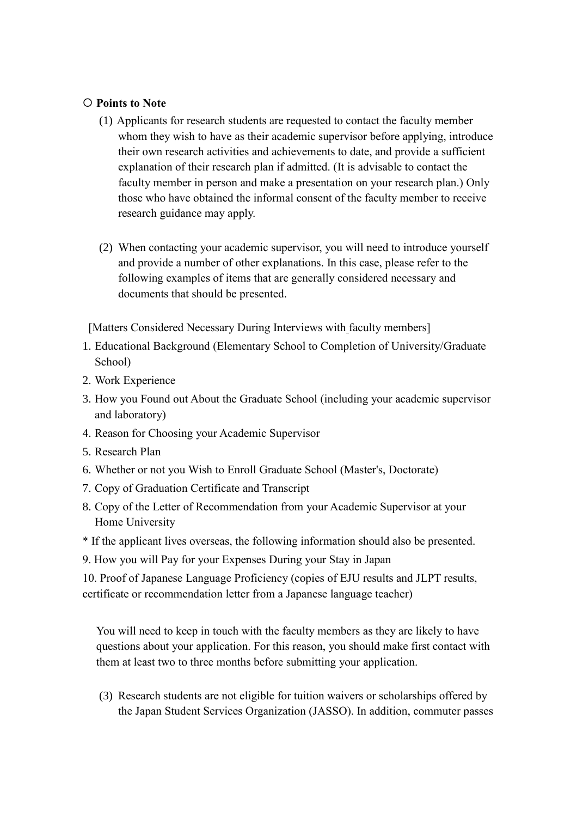# **Points to Note**

- (1) Applicants for research students are requested to contact the faculty member whom they wish to have as their academic supervisor before applying, introduce their own research activities and achievements to date, and provide a sufficient explanation of their research plan if admitted. (It is advisable to contact the faculty member in person and make a presentation on your research plan.) Only those who have obtained the informal consent of the faculty member to receive research guidance may apply.
- (2) When contacting your academic supervisor, you will need to introduce yourself and provide a number of other explanations. In this case, please refer to the following examples of items that are generally considered necessary and documents that should be presented.

[Matters Considered Necessary During Interviews with faculty members]

- 1. Educational Background (Elementary School to Completion of University/Graduate School)
- 2. Work Experience
- 3. How you Found out About the Graduate School (including your academic supervisor and laboratory)
- 4. Reason for Choosing your Academic Supervisor
- 5. Research Plan
- 6. Whether or not you Wish to Enroll Graduate School (Master's, Doctorate)
- 7. Copy of Graduation Certificate and Transcript
- 8. Copy of the Letter of Recommendation from your Academic Supervisor at your Home University
- \* If the applicant lives overseas, the following information should also be presented.
- 9. How you will Pay for your Expenses During your Stay in Japan

10. Proof of Japanese Language Proficiency (copies of EJU results and JLPT results, certificate or recommendation letter from a Japanese language teacher)

You will need to keep in touch with the faculty members as they are likely to have questions about your application. For this reason, you should make first contact with them at least two to three months before submitting your application.

(3) Research students are not eligible for tuition waivers or scholarships offered by the Japan Student Services Organization (JASSO). In addition, commuter passes